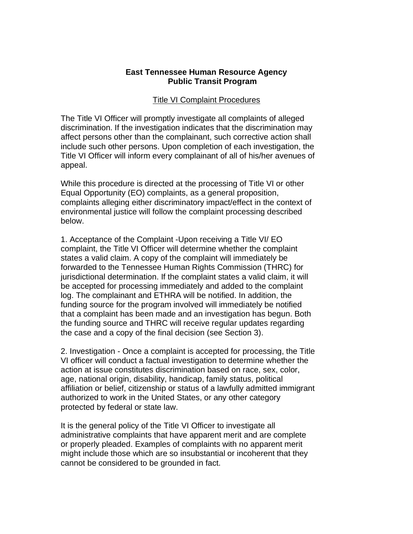## **East Tennessee Human Resource Agency Public Transit Program**

## Title VI Complaint Procedures

The Title VI Officer will promptly investigate all complaints of alleged discrimination. If the investigation indicates that the discrimination may affect persons other than the complainant, such corrective action shall include such other persons. Upon completion of each investigation, the Title VI Officer will inform every complainant of all of his/her avenues of appeal.

While this procedure is directed at the processing of Title VI or other Equal Opportunity (EO) complaints, as a general proposition, complaints alleging either discriminatory impact/effect in the context of environmental justice will follow the complaint processing described below.

1. Acceptance of the Complaint -Upon receiving a Title VI/ EO complaint, the Title VI Officer will determine whether the complaint states a valid claim. A copy of the complaint will immediately be forwarded to the Tennessee Human Rights Commission (THRC) for jurisdictional determination. If the complaint states a valid claim, it will be accepted for processing immediately and added to the complaint log. The complainant and ETHRA will be notified. In addition, the funding source for the program involved will immediately be notified that a complaint has been made and an investigation has begun. Both the funding source and THRC will receive regular updates regarding the case and a copy of the final decision (see Section 3).

2. Investigation - Once a complaint is accepted for processing, the Title VI officer will conduct a factual investigation to determine whether the action at issue constitutes discrimination based on race, sex, color, age, national origin, disability, handicap, family status, political affiliation or belief, citizenship or status of a lawfully admitted immigrant authorized to work in the United States, or any other category protected by federal or state law.

It is the general policy of the Title VI Officer to investigate all administrative complaints that have apparent merit and are complete or properly pleaded. Examples of complaints with no apparent merit might include those which are so insubstantial or incoherent that they cannot be considered to be grounded in fact.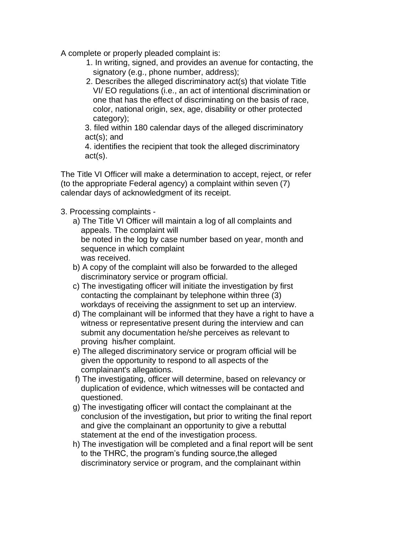A complete or properly pleaded complaint is:

- 1. In writing, signed, and provides an avenue for contacting, the signatory (e.g., phone number, address);
- 2. Describes the alleged discriminatory act(s) that violate Title VI/ EO regulations (i.e., an act of intentional discrimination or one that has the effect of discriminating on the basis of race, color, national origin, sex, age, disability or other protected category);

3. filed within 180 calendar days of the alleged discriminatory act(s); and

4. identifies the recipient that took the alleged discriminatory act(s).

The Title VI Officer will make a determination to accept, reject, or refer (to the appropriate Federal agency) a complaint within seven (7) calendar days of acknowledgment of its receipt.

## 3. Processing complaints -

- a) The Title VI Officer will maintain a log of all complaints and appeals. The complaint will be noted in the log by case number based on year, month and sequence in which complaint was received.
- b) A copy of the complaint will also be forwarded to the alleged discriminatory service or program official.
- c) The investigating officer will initiate the investigation by first contacting the complainant by telephone within three (3) workdays of receiving the assignment to set up an interview.
- d) The complainant will be informed that they have a right to have a witness or representative present during the interview and can submit any documentation he/she perceives as relevant to proving his/her complaint.
- e) The alleged discriminatory service or program official will be given the opportunity to respond to all aspects of the complainant's allegations.
- f) The investigating, officer will determine, based on relevancy or duplication of evidence, which witnesses will be contacted and questioned.
- g) The investigating officer will contact the complainant at the conclusion of the investigation**,** but prior to writing the final report and give the complainant an opportunity to give a rebuttal statement at the end of the investigation process.
- h) The investigation will be completed and a final report will be sent to the THRC, the program's funding source,the alleged discriminatory service or program, and the complainant within